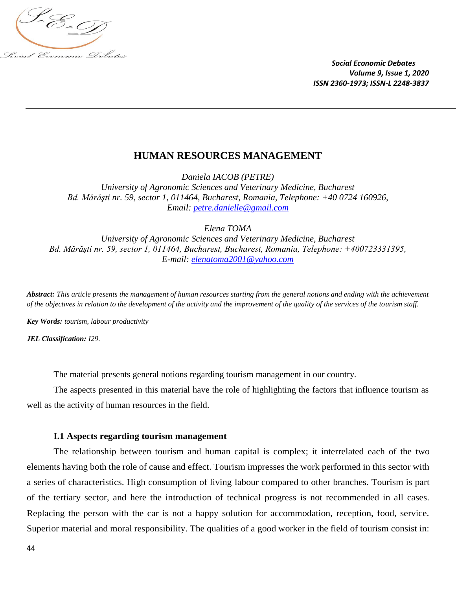

# **HUMAN RESOURCES MANAGEMENT**

*Daniela IACOB (PETRE) University of Agronomic Sciences and Veterinary Medicine, Bucharest Bd. Mărăşti nr. 59, sector 1, 011464, Bucharest, Romania, Telephone: +40 0724 160926, Email: [petre.danielle@gmail.com](mailto:petre.danielle@gmail.com)*

*Elena TOMA*

*University of Agronomic Sciences and Veterinary Medicine, Bucharest Bd. Mărăşti nr. 59, sector 1, 011464, Bucharest, Bucharest, Romania, Telephone: +400723331395, E-mail: [elenatoma2001@yahoo.com](mailto:elenatoma2001@yahoo.com)*

*Abstract: This article presents the management of human resources starting from the general notions and ending with the achievement of the objectives in relation to the development of the activity and the improvement of the quality of the services of the tourism staff.*

*Key Words: tourism, labour productivity*

*JEL Classification: I29.*

The material presents general notions regarding tourism management in our country.

The aspects presented in this material have the role of highlighting the factors that influence tourism as well as the activity of human resources in the field.

### **I.1 Aspects regarding tourism management**

The relationship between tourism and human capital is complex; it interrelated each of the two elements having both the role of cause and effect. Tourism impresses the work performed in this sector with a series of characteristics. High consumption of living labour compared to other branches. Tourism is part of the tertiary sector, and here the introduction of technical progress is not recommended in all cases. Replacing the person with the car is not a happy solution for accommodation, reception, food, service. Superior material and moral responsibility. The qualities of a good worker in the field of tourism consist in: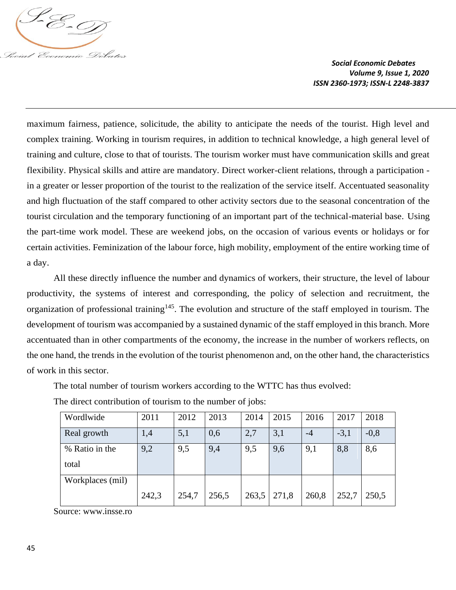

maximum fairness, patience, solicitude, the ability to anticipate the needs of the tourist. High level and complex training. Working in tourism requires, in addition to technical knowledge, a high general level of training and culture, close to that of tourists. The tourism worker must have communication skills and great flexibility. Physical skills and attire are mandatory. Direct worker-client relations, through a participation in a greater or lesser proportion of the tourist to the realization of the service itself. Accentuated seasonality and high fluctuation of the staff compared to other activity sectors due to the seasonal concentration of the tourist circulation and the temporary functioning of an important part of the technical-material base. Using the part-time work model. These are weekend jobs, on the occasion of various events or holidays or for certain activities. Feminization of the labour force, high mobility, employment of the entire working time of a day.

All these directly influence the number and dynamics of workers, their structure, the level of labour productivity, the systems of interest and corresponding, the policy of selection and recruitment, the organization of professional training<sup>145</sup>. The evolution and structure of the staff employed in tourism. The development of tourism was accompanied by a sustained dynamic of the staff employed in this branch. More accentuated than in other compartments of the economy, the increase in the number of workers reflects, on the one hand, the trends in the evolution of the tourist phenomenon and, on the other hand, the characteristics of work in this sector.

The total number of tourism workers according to the WTTC has thus evolved:

| Wordlwide        | 2011  | 2012  | 2013  | 2014  | 2015  | 2016  | 2017   | 2018   |
|------------------|-------|-------|-------|-------|-------|-------|--------|--------|
| Real growth      | 1,4   | 5,1   | 0,6   | 2,7   | 3,1   | $-4$  | $-3,1$ | $-0,8$ |
| % Ratio in the   | 9,2   | 9,5   | 9,4   | 9,5   | 9,6   | 9,1   | 8,8    | 8,6    |
| total            |       |       |       |       |       |       |        |        |
| Workplaces (mil) |       |       |       |       |       |       |        |        |
|                  | 242,3 | 254,7 | 256,5 | 263,5 | 271,8 | 260,8 | 252,7  | 250,5  |

The direct contribution of tourism to the number of jobs:

Source: www.insse.ro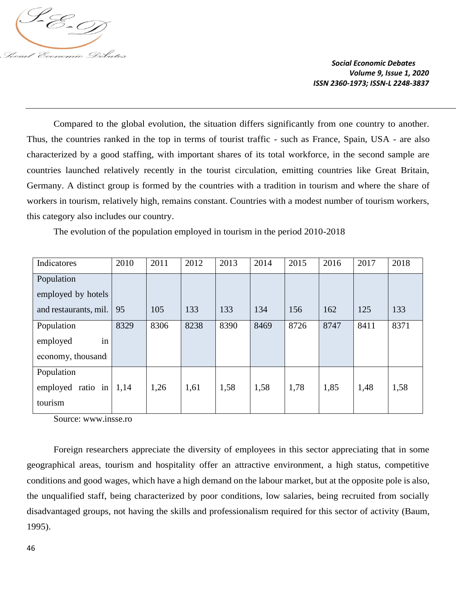

Compared to the global evolution, the situation differs significantly from one country to another. Thus, the countries ranked in the top in terms of tourist traffic - such as France, Spain, USA - are also characterized by a good staffing, with important shares of its total workforce, in the second sample are countries launched relatively recently in the tourist circulation, emitting countries like Great Britain, Germany. A distinct group is formed by the countries with a tradition in tourism and where the share of workers in tourism, relatively high, remains constant. Countries with a modest number of tourism workers, this category also includes our country.

The evolution of the population employed in tourism in the period 2010-2018

| Indicatores           | 2010 | 2011 | 2012 | 2013 | 2014 | 2015 | 2016 | 2017 | 2018 |
|-----------------------|------|------|------|------|------|------|------|------|------|
| Population            |      |      |      |      |      |      |      |      |      |
| employed by hotels    |      |      |      |      |      |      |      |      |      |
| and restaurants, mil. | 95   | 105  | 133  | 133  | 134  | 156  | 162  | 125  | 133  |
| Population            | 8329 | 8306 | 8238 | 8390 | 8469 | 8726 | 8747 | 8411 | 8371 |
| in<br>employed        |      |      |      |      |      |      |      |      |      |
| economy, thousand     |      |      |      |      |      |      |      |      |      |
| Population            |      |      |      |      |      |      |      |      |      |
| ratio in<br>employed  | 1,14 | 1,26 | 1,61 | 1,58 | 1,58 | 1,78 | 1,85 | 1,48 | 1,58 |
| tourism               |      |      |      |      |      |      |      |      |      |

Source: www.insse.ro

Foreign researchers appreciate the diversity of employees in this sector appreciating that in some geographical areas, tourism and hospitality offer an attractive environment, a high status, competitive conditions and good wages, which have a high demand on the labour market, but at the opposite pole is also, the unqualified staff, being characterized by poor conditions, low salaries, being recruited from socially disadvantaged groups, not having the skills and professionalism required for this sector of activity (Baum, 1995).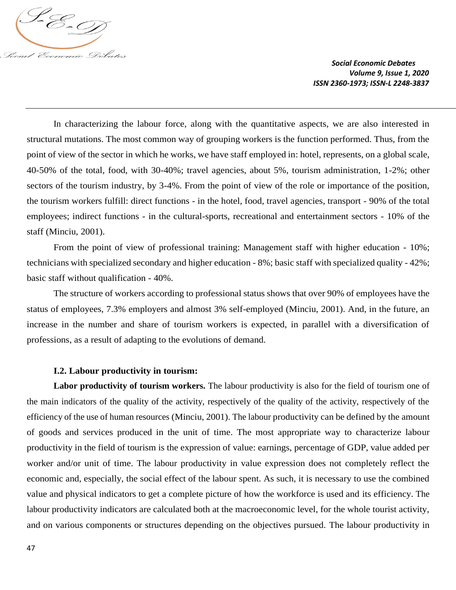

In characterizing the labour force, along with the quantitative aspects, we are also interested in structural mutations. The most common way of grouping workers is the function performed. Thus, from the point of view of the sector in which he works, we have staff employed in: hotel, represents, on a global scale, 40-50% of the total, food, with 30-40%; travel agencies, about 5%, tourism administration, 1-2%; other sectors of the tourism industry, by 3-4%. From the point of view of the role or importance of the position, the tourism workers fulfill: direct functions - in the hotel, food, travel agencies, transport - 90% of the total employees; indirect functions - in the cultural-sports, recreational and entertainment sectors - 10% of the staff (Minciu, 2001).

From the point of view of professional training: Management staff with higher education - 10%; technicians with specialized secondary and higher education - 8%; basic staff with specialized quality - 42%; basic staff without qualification - 40%.

The structure of workers according to professional status shows that over 90% of employees have the status of employees, 7.3% employers and almost 3% self-employed (Minciu, 2001). And, in the future, an increase in the number and share of tourism workers is expected, in parallel with a diversification of professions, as a result of adapting to the evolutions of demand.

## **I.2. Labour productivity in tourism:**

**Labor productivity of tourism workers.** The labour productivity is also for the field of tourism one of the main indicators of the quality of the activity, respectively of the quality of the activity, respectively of the efficiency of the use of human resources (Minciu, 2001). The labour productivity can be defined by the amount of goods and services produced in the unit of time. The most appropriate way to characterize labour productivity in the field of tourism is the expression of value: earnings, percentage of GDP, value added per worker and/or unit of time. The labour productivity in value expression does not completely reflect the economic and, especially, the social effect of the labour spent. As such, it is necessary to use the combined value and physical indicators to get a complete picture of how the workforce is used and its efficiency. The labour productivity indicators are calculated both at the macroeconomic level, for the whole tourist activity, and on various components or structures depending on the objectives pursued. The labour productivity in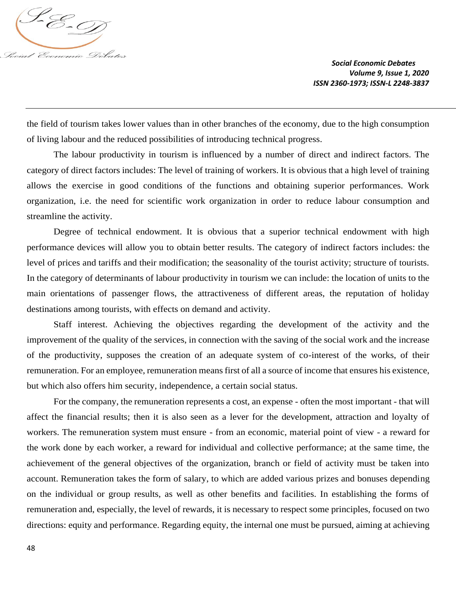

the field of tourism takes lower values than in other branches of the economy, due to the high consumption of living labour and the reduced possibilities of introducing technical progress.

The labour productivity in tourism is influenced by a number of direct and indirect factors. The category of direct factors includes: The level of training of workers. It is obvious that a high level of training allows the exercise in good conditions of the functions and obtaining superior performances. Work organization, i.e. the need for scientific work organization in order to reduce labour consumption and streamline the activity.

Degree of technical endowment. It is obvious that a superior technical endowment with high performance devices will allow you to obtain better results. The category of indirect factors includes: the level of prices and tariffs and their modification; the seasonality of the tourist activity; structure of tourists. In the category of determinants of labour productivity in tourism we can include: the location of units to the main orientations of passenger flows, the attractiveness of different areas, the reputation of holiday destinations among tourists, with effects on demand and activity.

Staff interest. Achieving the objectives regarding the development of the activity and the improvement of the quality of the services, in connection with the saving of the social work and the increase of the productivity, supposes the creation of an adequate system of co-interest of the works, of their remuneration. For an employee, remuneration means first of all a source of income that ensures his existence, but which also offers him security, independence, a certain social status.

For the company, the remuneration represents a cost, an expense - often the most important - that will affect the financial results; then it is also seen as a lever for the development, attraction and loyalty of workers. The remuneration system must ensure - from an economic, material point of view - a reward for the work done by each worker, a reward for individual and collective performance; at the same time, the achievement of the general objectives of the organization, branch or field of activity must be taken into account. Remuneration takes the form of salary, to which are added various prizes and bonuses depending on the individual or group results, as well as other benefits and facilities. In establishing the forms of remuneration and, especially, the level of rewards, it is necessary to respect some principles, focused on two directions: equity and performance. Regarding equity, the internal one must be pursued, aiming at achieving